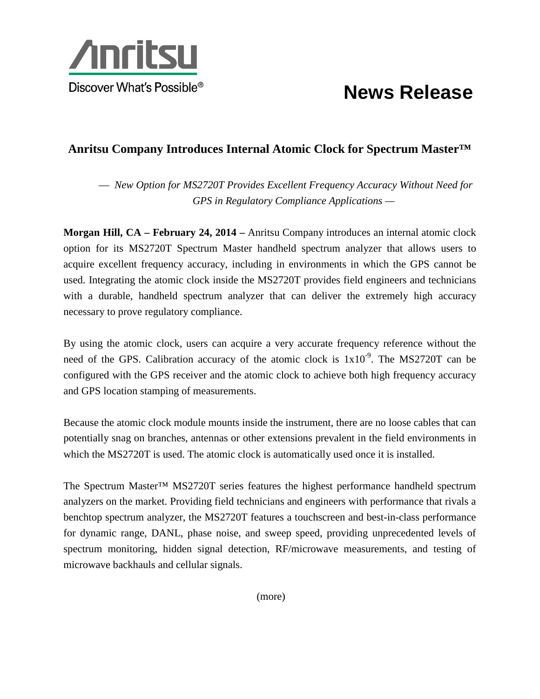

## **News Release**

## **Anritsu Company Introduces Internal Atomic Clock for Spectrum Master™**

— *New Option for MS2720T Provides Excellent Frequency Accuracy Without Need for GPS in Regulatory Compliance Applications —*

**Morgan Hill, CA – February 24, 2014 –** Anritsu Company introduces an internal atomic clock option for its MS2720T Spectrum Master handheld spectrum analyzer that allows users to acquire excellent frequency accuracy, including in environments in which the GPS cannot be used. Integrating the atomic clock inside the MS2720T provides field engineers and technicians with a durable, handheld spectrum analyzer that can deliver the extremely high accuracy necessary to prove regulatory compliance.

By using the atomic clock, users can acquire a very accurate frequency reference without the need of the GPS. Calibration accuracy of the atomic clock is  $1x10^{-9}$ . The MS2720T can be configured with the GPS receiver and the atomic clock to achieve both high frequency accuracy and GPS location stamping of measurements.

Because the atomic clock module mounts inside the instrument, there are no loose cables that can potentially snag on branches, antennas or other extensions prevalent in the field environments in which the MS2720T is used. The atomic clock is automatically used once it is installed.

The Spectrum Master™ MS2720T series features the highest performance handheld spectrum analyzers on the market. Providing field technicians and engineers with performance that rivals a benchtop spectrum analyzer, the MS2720T features a touchscreen and best-in-class performance for dynamic range, DANL, phase noise, and sweep speed, providing unprecedented levels of spectrum monitoring, hidden signal detection, RF/microwave measurements, and testing of microwave backhauls and cellular signals.

(more)